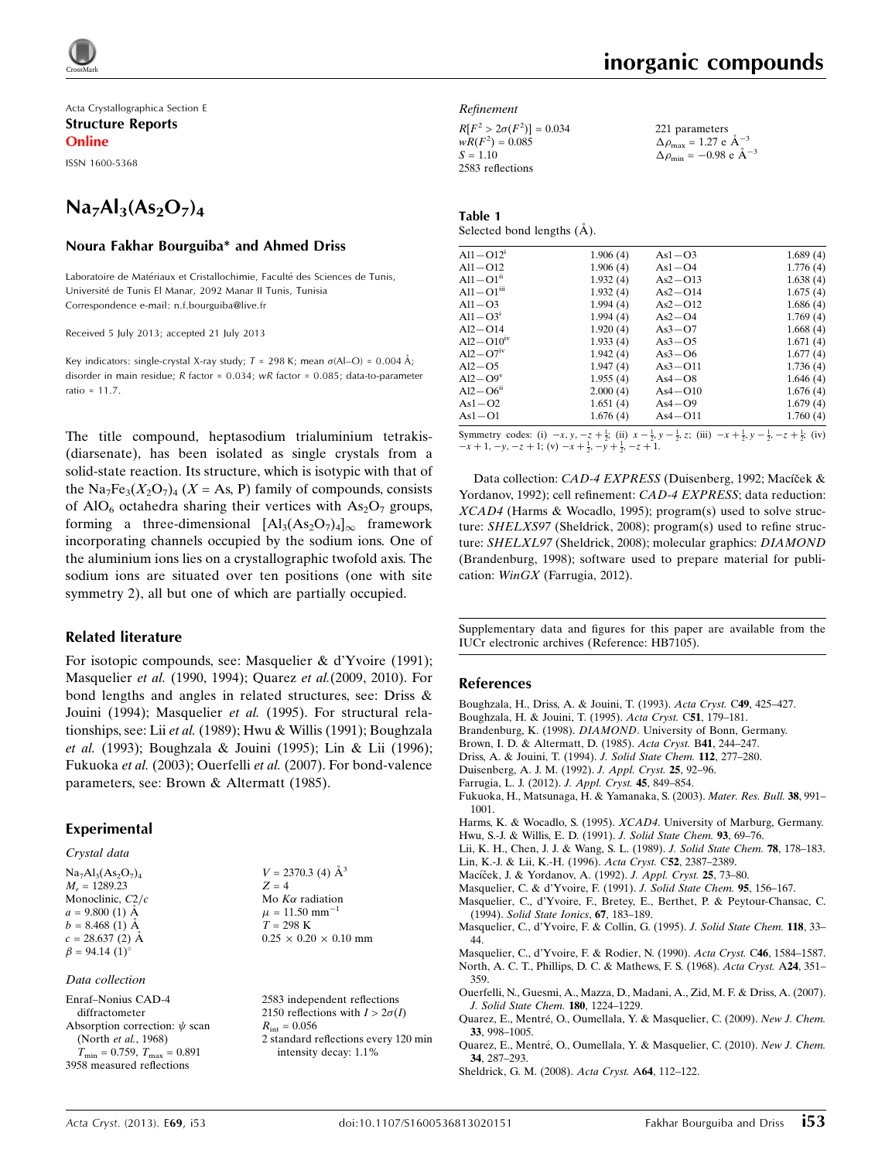

Acta Crystallographica Section E Structure Reports

Online

ISSN 1600-5368

## $Na<sub>7</sub>Al<sub>3</sub>(As<sub>2</sub>O<sub>7</sub>)<sub>4</sub>$

#### Noura Fakhar Bourguiba\* and Ahmed Driss

Laboratoire de Matériaux et Cristallochimie, Faculté des Sciences de Tunis, Universite´ de Tunis El Manar, 2092 Manar II Tunis, Tunisia Correspondence e-mail: [n.f.bourguiba@live.fr](https://scripts.iucr.org/cgi-bin/cr.cgi?rm=pdfbb&cnor=hb7105&bbid=BB22)

Received 5 July 2013; accepted 21 July 2013

Key indicators: single-crystal X-ray study;  $T = 298$  K; mean  $\sigma(A|$ -O) = 0.004 Å; disorder in main residue; R factor = 0.034; wR factor = 0.085; data-to-parameter ratio = 11.7.

The title compound, heptasodium trialuminium tetrakis- (diarsenate), has been isolated as single crystals from a solid-state reaction. Its structure, which is isotypic with that of the Na<sub>7</sub>Fe<sub>3</sub> $(X_2O_7)_4$   $(X = As, P)$  family of compounds, consists of AlO<sub>6</sub> octahedra sharing their vertices with  $As<sub>2</sub>O<sub>7</sub>$  groups, forming a three-dimensional  $[A]_3(As_2O_7)_4]_{\infty}$  framework incorporating channels occupied by the sodium ions. One of the aluminium ions lies on a crystallographic twofold axis. The sodium ions are situated over ten positions (one with site symmetry 2), all but one of which are partially occupied.

#### Related literature

For isotopic compounds, see: Masquelier & d'Yvoire (1991); Masquelier et al. (1990, 1994); Quarez et al.(2009, 2010). For bond lengths and angles in related structures, see: Driss & Jouini (1994); Masquelier et al. (1995). For structural relationships, see: Lii et al. (1989); Hwu & Willis (1991); Boughzala et al. (1993); Boughzala & Jouini (1995); Lin & Lii (1996); Fukuoka et al. (2003); Ouerfelli et al. (2007). For bond-valence parameters, see: Brown & Altermatt (1985).

#### Experimental

#### Crystal data

| $Na7Al3(As2O7)4$                 |
|----------------------------------|
| $M_r = 1289.23$                  |
| Monoclinic, C2/c                 |
| $a = 9.800(1)$ Å                 |
| $b = 8.468(1)$ Å                 |
| $c = 28.637(2)$ Å                |
| $\beta = 94.14$ (1) <sup>o</sup> |
|                                  |

#### Data collection

Enraf–Nonius CAD-4 diffractometer Absorption correction:  $\psi$  scan (North et al., 1968)  $T_{\text{min}} = 0.759, T_{\text{max}} = 0.891$ 3958 measured reflections

 $V = 2370.3$  (4)  $\AA^3$  $Z = 4$ Mo  $K\alpha$  radiation  $\mu = 11.50$  mm<sup>-1</sup>  $T = 298 \text{ K}$  $0.25\,\times\,0.20\,\times\,0.10$  mm

2583 independent reflections 2150 reflections with  $I > 2\sigma(I)$  $R_{\text{int}} = 0.056$ 2 standard reflections every 120 min

intensity decay: 1.1%

Refinement

 $R[F^2 > 2\sigma(F^2)] = 0.034$  $wR(F^2) = 0.085$  $S = 1.10$ 2583 reflections

221 parameters  $\Delta \rho_{\text{max}} = 1.27 \text{ e } \text{\AA}_{\text{s}}^{-3}$  $\Delta \rho_{\rm min} = -0.98 \text{ e A}^{-3}$ 

| Table 1 |                                     |  |
|---------|-------------------------------------|--|
|         | Selected bond lengths $(\dot{A})$ . |  |

| $Al1 - O12$ <sup>1</sup> | 1.906(4) | $As1-03$    | 1.689(4) |
|--------------------------|----------|-------------|----------|
| $Al1 - O12$              | 1.906(4) | $As1-O4$    | 1.776(4) |
| $Al1-O1ii$               | 1.932(4) | $As2 - O13$ | 1.638(4) |
| $Al1-O1iii$              | 1.932(4) | $As2-O14$   | 1.675(4) |
| $Al1 - O3$               | 1.994(4) | $As2-O12$   | 1.686(4) |
| $Al1 - O31$              | 1.994(4) | $As2-O4$    | 1.769(4) |
| $Al2-O14$                | 1.920(4) | $As3-07$    | 1.668(4) |
| $Al2-O10^{iv}$           | 1.933(4) | $As3-05$    | 1.671(4) |
| $Al2-O7iv$               | 1.942(4) | $As3-06$    | 1.677(4) |
| $Al2 - O5$               | 1.947(4) | $As3 - O11$ | 1.736(4) |
| $Al2-O9v$                | 1.955(4) | $As4-08$    | 1.646(4) |
| $Al2-O6ii$               | 2.000(4) | $As4 - O10$ | 1.676(4) |
| $As1 - O2$               | 1.651(4) | $As4-O9$    | 1.679(4) |
| $As1-O1$                 | 1.676(4) | $As4-O11$   | 1.760(4) |
|                          |          |             |          |

Symmetry codes: (i)  $-x, y, -z + \frac{1}{2}$ ; (ii)  $x - \frac{1}{2}, y - \frac{1}{2}, z$ ; (iii)  $-x + \frac{1}{2}, y - \frac{1}{2}, -z + \frac{1}{2}$ ; (iv)  $-x+1, -y, -z+1$ ; (v)  $-x+\frac{1}{2}, -y+\frac{1}{2}, -z+1$ .

Data collection: CAD-4 EXPRESS (Duisenberg, 1992; Macíček & Yordanov, 1992); cell refinement: CAD-4 EXPRESS; data reduction: XCAD4 (Harms & Wocadlo, 1995); program(s) used to solve structure: SHELXS97 (Sheldrick, 2008); program(s) used to refine structure: SHELXL97 (Sheldrick, 2008); molecular graphics: DIAMOND (Brandenburg, 1998); software used to prepare material for publication: WinGX (Farrugia, 2012).

Supplementary data and figures for this paper are available from the IUCr electronic archives (Reference: HB7105).

#### References

[Boughzala, H., Driss, A. & Jouini, T. \(1993\).](https://scripts.iucr.org/cgi-bin/cr.cgi?rm=pdfbb&cnor=hb7105&bbid=BB1) Acta Cryst. C49, 425–427.

- [Boughzala, H. & Jouini, T. \(1995\).](https://scripts.iucr.org/cgi-bin/cr.cgi?rm=pdfbb&cnor=hb7105&bbid=BB2) Acta Cryst. C51, 179–181.
- Brandenburg, K. (1998). DIAMOND[. University of Bonn, Germany.](https://scripts.iucr.org/cgi-bin/cr.cgi?rm=pdfbb&cnor=hb7105&bbid=BB3)
- [Brown, I. D. & Altermatt, D. \(1985\).](https://scripts.iucr.org/cgi-bin/cr.cgi?rm=pdfbb&cnor=hb7105&bbid=BB4) Acta Cryst. B41, 244–247.
- [Driss, A. & Jouini, T. \(1994\).](https://scripts.iucr.org/cgi-bin/cr.cgi?rm=pdfbb&cnor=hb7105&bbid=BB5) J. Solid State Chem. 112, 277–280.
- [Duisenberg, A. J. M. \(1992\).](https://scripts.iucr.org/cgi-bin/cr.cgi?rm=pdfbb&cnor=hb7105&bbid=BB6) J. Appl. Cryst. 25, 92–96.
- [Farrugia, L. J. \(2012\).](https://scripts.iucr.org/cgi-bin/cr.cgi?rm=pdfbb&cnor=hb7105&bbid=BB7) J. Appl. Cryst. 45, 849–854.
- [Fukuoka, H., Matsunaga, H. & Yamanaka, S. \(2003\).](https://scripts.iucr.org/cgi-bin/cr.cgi?rm=pdfbb&cnor=hb7105&bbid=BB8) Mater. Res. Bull. 38, 991– [1001.](https://scripts.iucr.org/cgi-bin/cr.cgi?rm=pdfbb&cnor=hb7105&bbid=BB8)
- Harms, K. & Wocadlo, S. (1995). XCAD4[. University of Marburg, Germany.](https://scripts.iucr.org/cgi-bin/cr.cgi?rm=pdfbb&cnor=hb7105&bbid=BB9)
- [Hwu, S.-J. & Willis, E. D. \(1991\).](https://scripts.iucr.org/cgi-bin/cr.cgi?rm=pdfbb&cnor=hb7105&bbid=BB10) J. Solid State Chem. 93, 69–76.

[Lii, K. H., Chen, J. J. & Wang, S. L. \(1989\).](https://scripts.iucr.org/cgi-bin/cr.cgi?rm=pdfbb&cnor=hb7105&bbid=BB11) J. Solid State Chem. 78, 178–183.

- [Lin, K.-J. & Lii, K.-H. \(1996\).](https://scripts.iucr.org/cgi-bin/cr.cgi?rm=pdfbb&cnor=hb7105&bbid=BB12) Acta Cryst. C52, 2387–2389.
- Macíček, J. & Yordanov, A. (1992). J. Appl. Cryst. 25, 73-80.
- [Masquelier, C. & d'Yvoire, F. \(1991\).](https://scripts.iucr.org/cgi-bin/cr.cgi?rm=pdfbb&cnor=hb7105&bbid=BB14) J. Solid State Chem. 95, 156–167.
- [Masquelier, C., d'Yvoire, F., Bretey, E., Berthet, P. & Peytour-Chansac, C.](https://scripts.iucr.org/cgi-bin/cr.cgi?rm=pdfbb&cnor=hb7105&bbid=BB15) (1994). [Solid State Ionics](https://scripts.iucr.org/cgi-bin/cr.cgi?rm=pdfbb&cnor=hb7105&bbid=BB15), 67, 183–189.
- [Masquelier, C., d'Yvoire, F. & Collin, G. \(1995\).](https://scripts.iucr.org/cgi-bin/cr.cgi?rm=pdfbb&cnor=hb7105&bbid=BB16) J. Solid State Chem. 118, 33– [44.](https://scripts.iucr.org/cgi-bin/cr.cgi?rm=pdfbb&cnor=hb7105&bbid=BB16)

[Masquelier, C., d'Yvoire, F. & Rodier, N. \(1990\).](https://scripts.iucr.org/cgi-bin/cr.cgi?rm=pdfbb&cnor=hb7105&bbid=BB17) Acta Cryst. C46, 1584–1587. [North, A. C. T., Phillips, D. C. & Mathews, F. S. \(1968\).](https://scripts.iucr.org/cgi-bin/cr.cgi?rm=pdfbb&cnor=hb7105&bbid=BB18) Acta Cryst. A24, 351– [359.](https://scripts.iucr.org/cgi-bin/cr.cgi?rm=pdfbb&cnor=hb7105&bbid=BB18)

- [Ouerfelli, N., Guesmi, A., Mazza, D., Madani, A., Zid, M. F. & Driss, A. \(2007\).](https://scripts.iucr.org/cgi-bin/cr.cgi?rm=pdfbb&cnor=hb7105&bbid=BB19) [J. Solid State Chem.](https://scripts.iucr.org/cgi-bin/cr.cgi?rm=pdfbb&cnor=hb7105&bbid=BB19) 180, 1224–1229.
- Quarez, E., Mentré, O., Oumellala, Y. & Masquelier, C. (2009). New J. Chem. 33[, 998–1005.](https://scripts.iucr.org/cgi-bin/cr.cgi?rm=pdfbb&cnor=hb7105&bbid=BB20)
- Quarez, E., Mentré, O., Oumellala, Y. & Masquelier, C. (2010). New J. Chem. 34[, 287–293.](https://scripts.iucr.org/cgi-bin/cr.cgi?rm=pdfbb&cnor=hb7105&bbid=BB21)
- [Sheldrick, G. M. \(2008\).](https://scripts.iucr.org/cgi-bin/cr.cgi?rm=pdfbb&cnor=hb7105&bbid=BB22) Acta Cryst. A64, 112–122.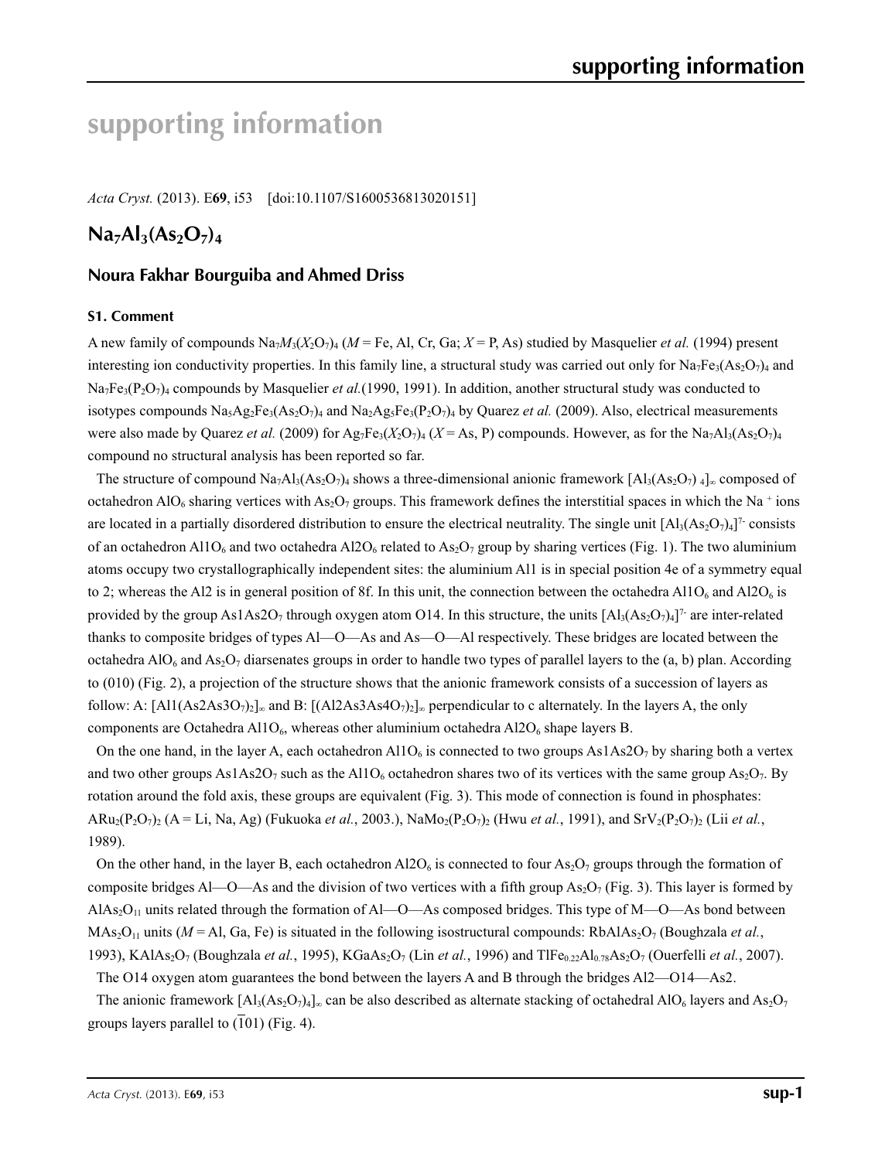# **supporting information**

*Acta Cryst.* (2013). E**69**, i53 [doi:10.1107/S1600536813020151]

## $Na<sub>7</sub>Al<sub>3</sub>(As<sub>2</sub>O<sub>7</sub>)<sub>4</sub>$

## **Noura Fakhar Bourguiba and Ahmed Driss**

#### **S1. Comment**

A new family of compounds  $\text{Na}_7M_3(X_2\text{O}_7)_4$  ( $M = \text{Fe}$ , Al, Cr, Ga;  $X = \text{P}$ , As) studied by Masquelier *et al.* (1994) present interesting ion conductivity properties. In this family line, a structural study was carried out only for  $Na_7Fe_3(As_2O_7)_4$  and Na7Fe3(P2O7)4 compounds by Masquelier *et al.*(1990, 1991). In addition, another structural study was conducted to isotypes compounds  $N_{a_5}Ag_2Fe_3(As_2O_7)_4$  and  $N_{a_2}Ag_5Fe_3(Po_2O_7)_4$  by Quarez *et al.* (2009). Also, electrical measurements were also made by Quarez *et al.* (2009) for Ag<sub>7</sub>Fe<sub>3</sub>( $X_2O_7$ )<sub>4</sub> ( $X = As$ , P) compounds. However, as for the Na<sub>7</sub>Al<sub>3</sub>(As<sub>2</sub>O<sub>7</sub>)<sub>4</sub> compound no structural analysis has been reported so far.

The structure of compound Na<sub>7</sub>Al<sub>3</sub>(As<sub>2</sub>O<sub>7</sub>)<sub>4</sub> shows a three-dimensional anionic framework [Al<sub>3</sub>(As<sub>2</sub>O<sub>7</sub>)<sub>4</sub>]<sub>∞</sub> composed of octahedron AlO<sub>6</sub> sharing vertices with As<sub>2</sub>O<sub>7</sub> groups. This framework defines the interstitial spaces in which the Na<sup>+</sup> ions are located in a partially disordered distribution to ensure the electrical neutrality. The single unit  $[A_3(A_5Q_7)_4]^7$  consists of an octahedron Al1O<sub>6</sub> and two octahedra Al2O<sub>6</sub> related to As<sub>2</sub>O<sub>7</sub> group by sharing vertices (Fig. 1). The two aluminium atoms occupy two crystallographically independent sites: the aluminium Al1 is in special position 4e of a symmetry equal to 2; whereas the Al2 is in general position of 8f. In this unit, the connection between the octahedra Al1O<sub>6</sub> and Al2O<sub>6</sub> is provided by the group As1As2O<sub>7</sub> through oxygen atom O14. In this structure, the units  $[A]_3(A_2O_7)_4]^7$  are inter-related thanks to composite bridges of types Al—O—As and As—O—Al respectively. These bridges are located between the octahedra AlO<sub>6</sub> and As<sub>2</sub>O<sub>7</sub> diarsenates groups in order to handle two types of parallel layers to the (a, b) plan. According to (010) (Fig. 2), a projection of the structure shows that the anionic framework consists of a succession of layers as follow: A:  $[A11(As2As3O_7)_2]_{\infty}$  and B:  $[(A12As3As4O_7)_2]_{\infty}$  perpendicular to c alternately. In the layers A, the only components are Octahedra Al1O<sub>6</sub>, whereas other aluminium octahedra Al2O<sub>6</sub> shape layers B.

On the one hand, in the layer A, each octahedron Al1O<sub>6</sub> is connected to two groups As1As2O<sub>7</sub> by sharing both a vertex and two other groups  $As1As2O<sub>7</sub>$  such as the Al1O<sub>6</sub> octahedron shares two of its vertices with the same group As<sub>2</sub>O<sub>7</sub>. By rotation around the fold axis, these groups are equivalent (Fig. 3). This mode of connection is found in phosphates:  $ARu_2(P_2O_7)_2$  ( $A = Li$ , Na, Ag) (Fukuoka *et al.*, 2003.), NaMo<sub>2</sub>(P<sub>2</sub>O<sub>7</sub>)<sub>2</sub> (Hwu *et al.*, 1991), and SrV<sub>2</sub>(P<sub>2</sub>O<sub>7</sub>)<sub>2</sub> (Lii *et al.*, 1989).

On the other hand, in the layer B, each octahedron  $A12O_6$  is connected to four  $As_2O_7$  groups through the formation of composite bridges Al—O—As and the division of two vertices with a fifth group  $As_2O_7$  (Fig. 3). This layer is formed by AlAs<sub>2</sub>O<sub>11</sub> units related through the formation of Al—O—As composed bridges. This type of M—O—As bond between MAs<sub>2</sub>O<sub>11</sub> units (*M* = Al, Ga, Fe) is situated in the following isostructural compounds: RbAlAs<sub>2</sub>O<sub>7</sub> (Boughzala *et al.*, 1993), KAlAs2O7 (Boughzala *et al.*, 1995), KGaAs2O7 (Lin *et al.*, 1996) and TlFe0.22Al0.78As2O7 (Ouerfelli *et al.*, 2007).

The O14 oxygen atom guarantees the bond between the layers A and B through the bridges Al2—O14—As2.

The anionic framework  $[A]_3(A_2O_7)_4]_\infty$  can be also described as alternate stacking of octahedral AlO<sub>6</sub> layers and As<sub>2</sub>O<sub>7</sub> groups layers parallel to  $(101)$  (Fig. 4).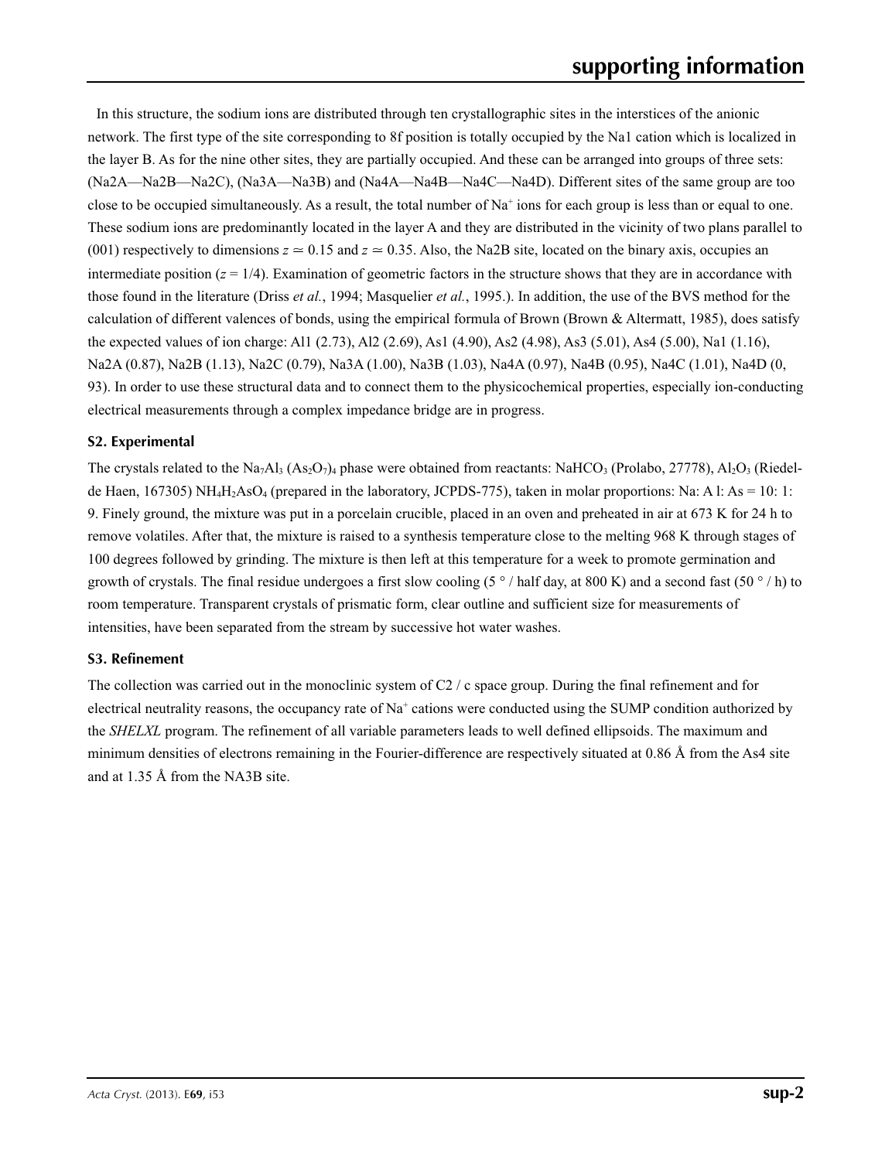In this structure, the sodium ions are distributed through ten crystallographic sites in the interstices of the anionic network. The first type of the site corresponding to 8f position is totally occupied by the Na1 cation which is localized in the layer B. As for the nine other sites, they are partially occupied. And these can be arranged into groups of three sets: (Na2A—Na2B—Na2C), (Na3A—Na3B) and (Na4A—Na4B—Na4C—Na4D). Different sites of the same group are too close to be occupied simultaneously. As a result, the total number of  $Na<sup>+</sup>$  ions for each group is less than or equal to one. These sodium ions are predominantly located in the layer A and they are distributed in the vicinity of two plans parallel to (001) respectively to dimensions  $z \approx 0.15$  and  $z \approx 0.35$ . Also, the Na2B site, located on the binary axis, occupies an intermediate position  $(z = 1/4)$ . Examination of geometric factors in the structure shows that they are in accordance with those found in the literature (Driss *et al.*, 1994; Masquelier *et al.*, 1995.). In addition, the use of the BVS method for the calculation of different valences of bonds, using the empirical formula of Brown (Brown & Altermatt, 1985), does satisfy the expected values of ion charge: Al1 (2.73), Al2 (2.69), As1 (4.90), As2 (4.98), As3 (5.01), As4 (5.00), Na1 (1.16), Na2A (0.87), Na2B (1.13), Na2C (0.79), Na3A (1.00), Na3B (1.03), Na4A (0.97), Na4B (0.95), Na4C (1.01), Na4D (0, 93). In order to use these structural data and to connect them to the physicochemical properties, especially ion-conducting electrical measurements through a complex impedance bridge are in progress.

### **S2. Experimental**

The crystals related to the Na<sub>7</sub>Al<sub>3</sub> (As<sub>2</sub>O<sub>7</sub>)<sub>4</sub> phase were obtained from reactants: NaHCO<sub>3</sub> (Prolabo, 27778), Al<sub>2</sub>O<sub>3</sub> (Riedelde Haen, 167305) NH<sub>4</sub>H<sub>2</sub>AsO<sub>4</sub> (prepared in the laboratory, JCPDS-775), taken in molar proportions: Na: A l: As = 10: 1: 9. Finely ground, the mixture was put in a porcelain crucible, placed in an oven and preheated in air at 673 K for 24 h to remove volatiles. After that, the mixture is raised to a synthesis temperature close to the melting 968 K through stages of 100 degrees followed by grinding. The mixture is then left at this temperature for a week to promote germination and growth of crystals. The final residue undergoes a first slow cooling (5  $\degree$  / half day, at 800 K) and a second fast (50  $\degree$  / h) to room temperature. Transparent crystals of prismatic form, clear outline and sufficient size for measurements of intensities, have been separated from the stream by successive hot water washes.

#### **S3. Refinement**

The collection was carried out in the monoclinic system of C2 / c space group. During the final refinement and for electrical neutrality reasons, the occupancy rate of Na<sup>+</sup> cations were conducted using the SUMP condition authorized by the *SHELXL* program. The refinement of all variable parameters leads to well defined ellipsoids. The maximum and minimum densities of electrons remaining in the Fourier-difference are respectively situated at 0.86 Å from the As4 site and at 1.35 Å from the NA3B site.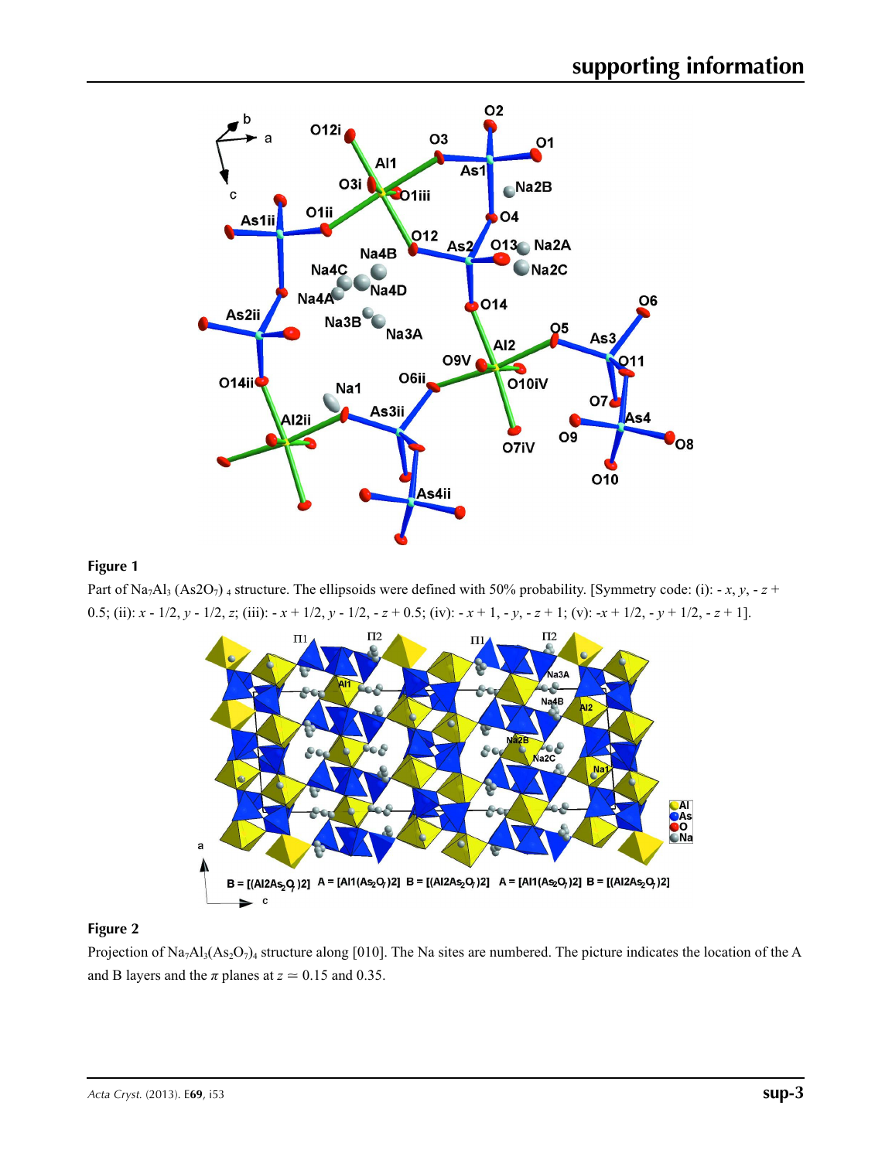

### **Figure 1**

Part of Na<sub>7</sub>Al<sub>3</sub> (As2O<sub>7</sub>) 4 structure. The ellipsoids were defined with 50% probability. [Symmetry code: (i): - *x*, *y*, - *z* + 0.5; (ii): *x* - 1/2, *y* - 1/2, *z*; (iii): - *x* + 1/2, *y* - 1/2, - *z* + 0.5; (iv): - *x* + 1, - *y*, - *z* + 1; (v): -*x* + 1/2, - *y* + 1/2, - *z* + 1].



#### **Figure 2**

Projection of Na<sub>7</sub>Al<sub>3</sub>(As<sub>2</sub>O<sub>7</sub>)<sub>4</sub> structure along [010]. The Na sites are numbered. The picture indicates the location of the A and B layers and the  $\pi$  planes at  $z \approx 0.15$  and 0.35.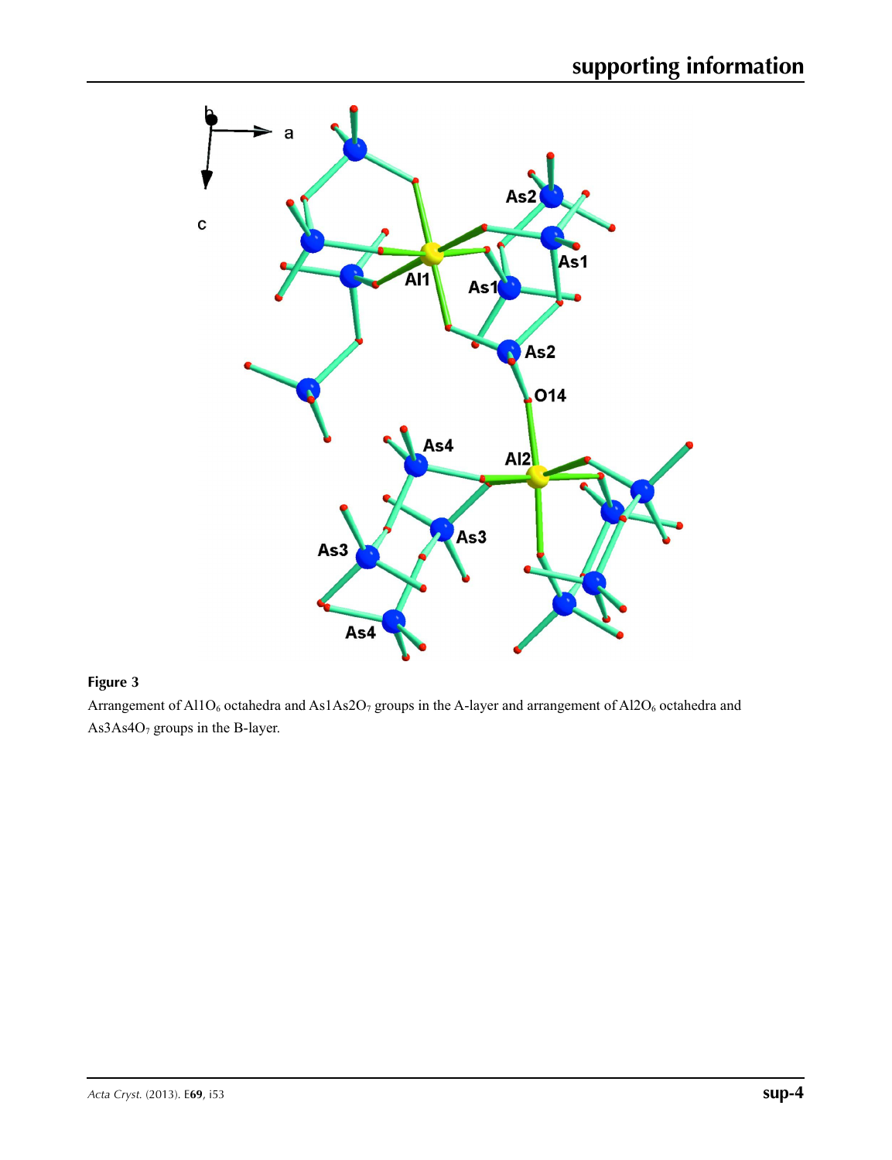

## **Figure 3**

Arrangement of Al1O<sub>6</sub> octahedra and As1As2O<sub>7</sub> groups in the A-layer and arrangement of Al2O<sub>6</sub> octahedra and As3As4O<sub>7</sub> groups in the B-layer.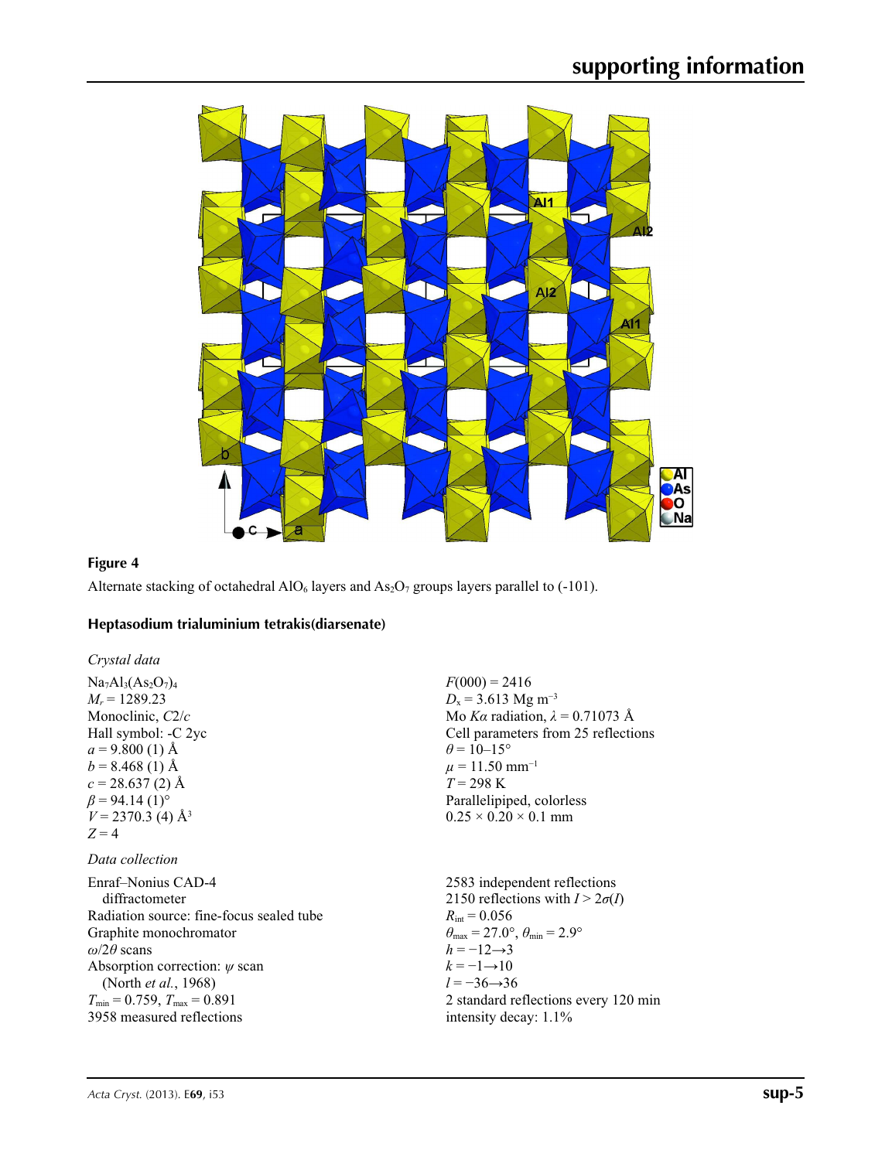

 $F(000) = 2416$  $D_x = 3.613$  Mg m<sup>-3</sup>

 $\theta$  = 10–15°  $\mu$  = 11.50 mm<sup>-1</sup>  $T = 298 \text{ K}$ 

Mo *Kα* radiation, *λ* = 0.71073 Å Cell parameters from 25 reflections

Parallelipiped, colorless  $0.25 \times 0.20 \times 0.1$  mm

## **Figure 4**

Alternate stacking of octahedral  $AIO_6$  layers and  $As_2O_7$  groups layers parallel to (-101).

### **Heptasodium trialuminium tetrakis(diarsenate)**

*Crystal data*  $Na<sub>7</sub>Al<sub>3</sub>(As<sub>2</sub>O<sub>7</sub>)<sub>4</sub>$  $M_r = 1289.23$ Monoclinic, *C*2/*c* Hall symbol: -C 2yc  $a = 9.800(1)$  Å  $b = 8.468(1)$  Å  $c = 28.637(2)$  Å  $\beta$  = 94.14 (1)<sup>o</sup>  $V = 2370.3$  (4) Å<sup>3</sup>  $Z = 4$ 

## *Data collection*

| Enraf-Nonius CAD-4                       | 2583 independent reflections                                            |
|------------------------------------------|-------------------------------------------------------------------------|
| diffractometer                           | 2150 reflections with $I > 2\sigma(I)$                                  |
| Radiation source: fine-focus sealed tube | $R_{\text{int}} = 0.056$                                                |
| Graphite monochromator                   | $\theta_{\text{max}} = 27.0^{\circ}, \theta_{\text{min}} = 2.9^{\circ}$ |
| $\omega/2\theta$ scans                   | $h = -12 \rightarrow 3$                                                 |
| Absorption correction: $\psi$ scan       | $k=-1 \rightarrow 10$                                                   |
| (North <i>et al.</i> , 1968)             | $l = -36 \rightarrow 36$                                                |
| $T_{\min}$ = 0.759, $T_{\max}$ = 0.891   | 2 standard reflections every 120 min                                    |
| 3958 measured reflections                | intensity decay: $1.1\%$                                                |
|                                          |                                                                         |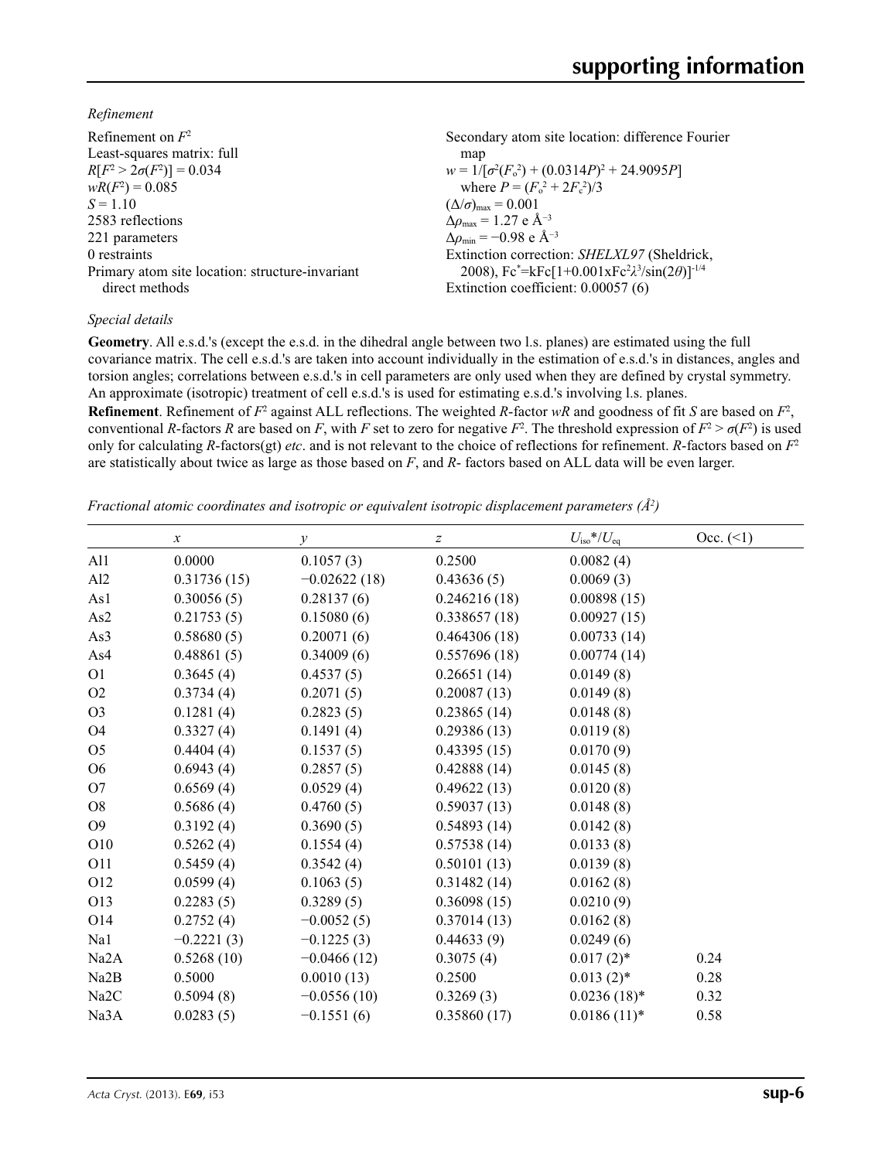*Refinement*

| Refinement on $F^2$                             | Secondary atom site location: difference Fourier               |
|-------------------------------------------------|----------------------------------------------------------------|
| Least-squares matrix: full                      | map                                                            |
| $R[F^2 > 2\sigma(F^2)] = 0.034$                 | $w = 1/[\sigma^2(F_0^2) + (0.0314P)^2 + 24.9095P]$             |
| $wR(F^2) = 0.085$                               | where $P = (F_0^2 + 2F_c^2)/3$                                 |
| $S = 1.10$                                      | $(\Delta/\sigma)_{\text{max}} = 0.001$                         |
| 2583 reflections                                | $\Delta \rho_{\text{max}} = 1.27 \text{ e } \text{\AA}^{-3}$   |
| 221 parameters                                  | $\Delta\rho_{\rm min} = -0.98$ e Å <sup>-3</sup>               |
| 0 restraints                                    | Extinction correction: SHELXL97 (Sheldrick,                    |
| Primary atom site location: structure-invariant | 2008), $Fc^* = kFc[1+0.001xFc^2\lambda^3/sin(2\theta)]^{-1/4}$ |
| direct methods                                  | Extinction coefficient: 0.00057 (6)                            |

### *Special details*

**Geometry**. All e.s.d.'s (except the e.s.d. in the dihedral angle between two l.s. planes) are estimated using the full covariance matrix. The cell e.s.d.'s are taken into account individually in the estimation of e.s.d.'s in distances, angles and torsion angles; correlations between e.s.d.'s in cell parameters are only used when they are defined by crystal symmetry. An approximate (isotropic) treatment of cell e.s.d.'s is used for estimating e.s.d.'s involving l.s. planes.

**Refinement**. Refinement of  $F^2$  against ALL reflections. The weighted R-factor wR and goodness of fit *S* are based on  $F^2$ , conventional *R*-factors *R* are based on *F*, with *F* set to zero for negative  $F^2$ . The threshold expression of  $F^2 > \sigma(F^2)$  is used only for calculating *R*-factors(gt) *etc*. and is not relevant to the choice of reflections for refinement. *R*-factors based on *F*<sup>2</sup> are statistically about twice as large as those based on *F*, and *R*- factors based on ALL data will be even larger.

*Fractional atomic coordinates and isotropic or equivalent isotropic displacement parameters (Å2 )*

|                   | $\boldsymbol{x}$ | у              | z            | $U_{\text{iso}}$ */ $U_{\text{eq}}$ | Occ. (2) |
|-------------------|------------------|----------------|--------------|-------------------------------------|----------|
| Al1               | 0.0000           | 0.1057(3)      | 0.2500       | 0.0082(4)                           |          |
| A12               | 0.31736(15)      | $-0.02622(18)$ | 0.43636(5)   | 0.0069(3)                           |          |
| As1               | 0.30056(5)       | 0.28137(6)     | 0.246216(18) | 0.00898(15)                         |          |
| As2               | 0.21753(5)       | 0.15080(6)     | 0.338657(18) | 0.00927(15)                         |          |
| As3               | 0.58680(5)       | 0.20071(6)     | 0.464306(18) | 0.00733(14)                         |          |
| As4               | 0.48861(5)       | 0.34009(6)     | 0.557696(18) | 0.00774(14)                         |          |
| O <sub>1</sub>    | 0.3645(4)        | 0.4537(5)      | 0.26651(14)  | 0.0149(8)                           |          |
| O2                | 0.3734(4)        | 0.2071(5)      | 0.20087(13)  | 0.0149(8)                           |          |
| O <sub>3</sub>    | 0.1281(4)        | 0.2823(5)      | 0.23865(14)  | 0.0148(8)                           |          |
| O <sub>4</sub>    | 0.3327(4)        | 0.1491(4)      | 0.29386(13)  | 0.0119(8)                           |          |
| O <sub>5</sub>    | 0.4404(4)        | 0.1537(5)      | 0.43395(15)  | 0.0170(9)                           |          |
| O <sub>6</sub>    | 0.6943(4)        | 0.2857(5)      | 0.42888(14)  | 0.0145(8)                           |          |
| O7                | 0.6569(4)        | 0.0529(4)      | 0.49622(13)  | 0.0120(8)                           |          |
| O <sub>8</sub>    | 0.5686(4)        | 0.4760(5)      | 0.59037(13)  | 0.0148(8)                           |          |
| O <sub>9</sub>    | 0.3192(4)        | 0.3690(5)      | 0.54893(14)  | 0.0142(8)                           |          |
| O10               | 0.5262(4)        | 0.1554(4)      | 0.57538(14)  | 0.0133(8)                           |          |
| O11               | 0.5459(4)        | 0.3542(4)      | 0.50101(13)  | 0.0139(8)                           |          |
| O12               | 0.0599(4)        | 0.1063(5)      | 0.31482(14)  | 0.0162(8)                           |          |
| O13               | 0.2283(5)        | 0.3289(5)      | 0.36098(15)  | 0.0210(9)                           |          |
| O14               | 0.2752(4)        | $-0.0052(5)$   | 0.37014(13)  | 0.0162(8)                           |          |
| Na1               | $-0.2221(3)$     | $-0.1225(3)$   | 0.44633(9)   | 0.0249(6)                           |          |
| Na <sub>2</sub> A | 0.5268(10)       | $-0.0466(12)$  | 0.3075(4)    | $0.017(2)$ *                        | 0.24     |
| Na2B              | 0.5000           | 0.0010(13)     | 0.2500       | $0.013(2)$ *                        | 0.28     |
| Na2C              | 0.5094(8)        | $-0.0556(10)$  | 0.3269(3)    | $0.0236(18)^*$                      | 0.32     |
| Na3A              | 0.0283(5)        | $-0.1551(6)$   | 0.35860(17)  | $0.0186(11)*$                       | 0.58     |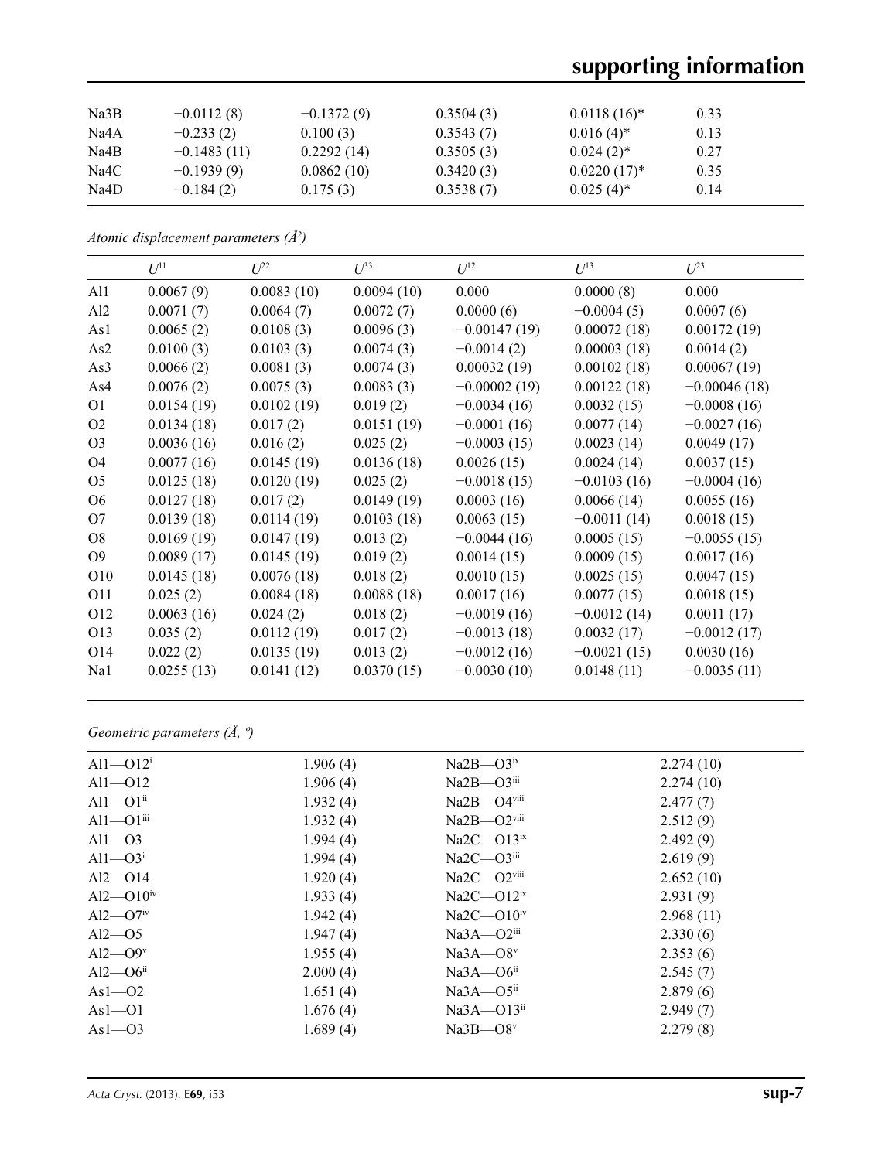# **supporting information**

| Na3B | $-0.0112(8)$  | $-0.1372(9)$ | 0.3504(3) | $0.0118(16)^*$ | 0.33 |  |
|------|---------------|--------------|-----------|----------------|------|--|
| Na4A | $-0.233(2)$   | 0.100(3)     | 0.3543(7) | $0.016(4)$ *   | 0.13 |  |
| Na4B | $-0.1483(11)$ | 0.2292(14)   | 0.3505(3) | $0.024(2)^*$   | 0.27 |  |
| Na4C | $-0.1939(9)$  | 0.0862(10)   | 0.3420(3) | $0.0220(17)^*$ | 0.35 |  |
| Na4D | $-0.184(2)$   | 0.175(3)     | 0.3538(7) | $0.025(4)^*$   | 0.14 |  |

*Atomic displacement parameters (Å2 )*

|                 | $U^{11}$   | $U^{22}$   | $\mathcal{L}^{\beta 3}$ | $U^{12}$       | $U^{13}$      | $U^{23}$       |
|-----------------|------------|------------|-------------------------|----------------|---------------|----------------|
| Al1             | 0.0067(9)  | 0.0083(10) | 0.0094(10)              | 0.000          | 0.0000(8)     | 0.000          |
| Al <sub>2</sub> | 0.0071(7)  | 0.0064(7)  | 0.0072(7)               | 0.0000(6)      | $-0.0004(5)$  | 0.0007(6)      |
| As1             | 0.0065(2)  | 0.0108(3)  | 0.0096(3)               | $-0.00147(19)$ | 0.00072(18)   | 0.00172(19)    |
| As2             | 0.0100(3)  | 0.0103(3)  | 0.0074(3)               | $-0.0014(2)$   | 0.00003(18)   | 0.0014(2)      |
| As3             | 0.0066(2)  | 0.0081(3)  | 0.0074(3)               | 0.00032(19)    | 0.00102(18)   | 0.00067(19)    |
| As4             | 0.0076(2)  | 0.0075(3)  | 0.0083(3)               | $-0.00002(19)$ | 0.00122(18)   | $-0.00046(18)$ |
| O <sub>1</sub>  | 0.0154(19) | 0.0102(19) | 0.019(2)                | $-0.0034(16)$  | 0.0032(15)    | $-0.0008(16)$  |
| O2              | 0.0134(18) | 0.017(2)   | 0.0151(19)              | $-0.0001(16)$  | 0.0077(14)    | $-0.0027(16)$  |
| O <sub>3</sub>  | 0.0036(16) | 0.016(2)   | 0.025(2)                | $-0.0003(15)$  | 0.0023(14)    | 0.0049(17)     |
| O <sub>4</sub>  | 0.0077(16) | 0.0145(19) | 0.0136(18)              | 0.0026(15)     | 0.0024(14)    | 0.0037(15)     |
| O <sub>5</sub>  | 0.0125(18) | 0.0120(19) | 0.025(2)                | $-0.0018(15)$  | $-0.0103(16)$ | $-0.0004(16)$  |
| O <sub>6</sub>  | 0.0127(18) | 0.017(2)   | 0.0149(19)              | 0.0003(16)     | 0.0066(14)    | 0.0055(16)     |
| O <sub>7</sub>  | 0.0139(18) | 0.0114(19) | 0.0103(18)              | 0.0063(15)     | $-0.0011(14)$ | 0.0018(15)     |
| O <sub>8</sub>  | 0.0169(19) | 0.0147(19) | 0.013(2)                | $-0.0044(16)$  | 0.0005(15)    | $-0.0055(15)$  |
| O <sub>9</sub>  | 0.0089(17) | 0.0145(19) | 0.019(2)                | 0.0014(15)     | 0.0009(15)    | 0.0017(16)     |
| O10             | 0.0145(18) | 0.0076(18) | 0.018(2)                | 0.0010(15)     | 0.0025(15)    | 0.0047(15)     |
| O11             | 0.025(2)   | 0.0084(18) | 0.0088(18)              | 0.0017(16)     | 0.0077(15)    | 0.0018(15)     |
| O12             | 0.0063(16) | 0.024(2)   | 0.018(2)                | $-0.0019(16)$  | $-0.0012(14)$ | 0.0011(17)     |
| O13             | 0.035(2)   | 0.0112(19) | 0.017(2)                | $-0.0013(18)$  | 0.0032(17)    | $-0.0012(17)$  |
| O14             | 0.022(2)   | 0.0135(19) | 0.013(2)                | $-0.0012(16)$  | $-0.0021(15)$ | 0.0030(16)     |
| Na1             | 0.0255(13) | 0.0141(12) | 0.0370(15)              | $-0.0030(10)$  | 0.0148(11)    | $-0.0035(11)$  |

*Geometric parameters (Å, º)*

| All $-$ Ol $2^{i}$         | 1.906(4) | $Na2B - O3ix$               | 2.274(10) |
|----------------------------|----------|-----------------------------|-----------|
| $Al1 - O12$                | 1.906(4) | $Na2B - O3$ <sup>iii</sup>  | 2.274(10) |
| $Al1 - O1$ <sup>ii</sup>   | 1.932(4) | Na2B-O4viii                 | 2.477(7)  |
| $Al1 - O1$ <sup>iii</sup>  | 1.932(4) | Na2B-O2viii                 | 2.512(9)  |
| $Al1 - O3$                 | 1.994(4) | $Na2C - O13ix$              | 2.492(9)  |
| $Al1 - O3$ <sup>i</sup>    | 1.994(4) | $Na2C - O3$ <sup>iii</sup>  | 2.619(9)  |
| $Al2 - O14$                | 1.920(4) | $Na2C - O2$ <sup>viii</sup> | 2.652(10) |
| $Al2 - O10^{iv}$           | 1.933(4) | $Na2C - O12ix$              | 2.931(9)  |
| $Al2$ — $O7$ <sup>iv</sup> | 1.942(4) | $Na2C - O10iv$              | 2.968(11) |
| $Al2$ —O5                  | 1.947(4) | $Na3A - O2$ <sup>iii</sup>  | 2.330(6)  |
| $Al2$ — $O9v$              | 1.955(4) | $Na3A - O8v$                | 2.353(6)  |
| $Al2 - O6$ <sup>ii</sup>   | 2.000(4) | $Na3A - O6ii$               | 2.545(7)  |
| $As1-02$                   | 1.651(4) | $Na3A - O5ii$               | 2.879(6)  |
| $As1-01$                   | 1.676(4) | $Na3A - O13$ <sup>ii</sup>  | 2.949(7)  |
| $As1-03$                   | 1.689(4) | $Na3B - O8v$                | 2.279(8)  |
|                            |          |                             |           |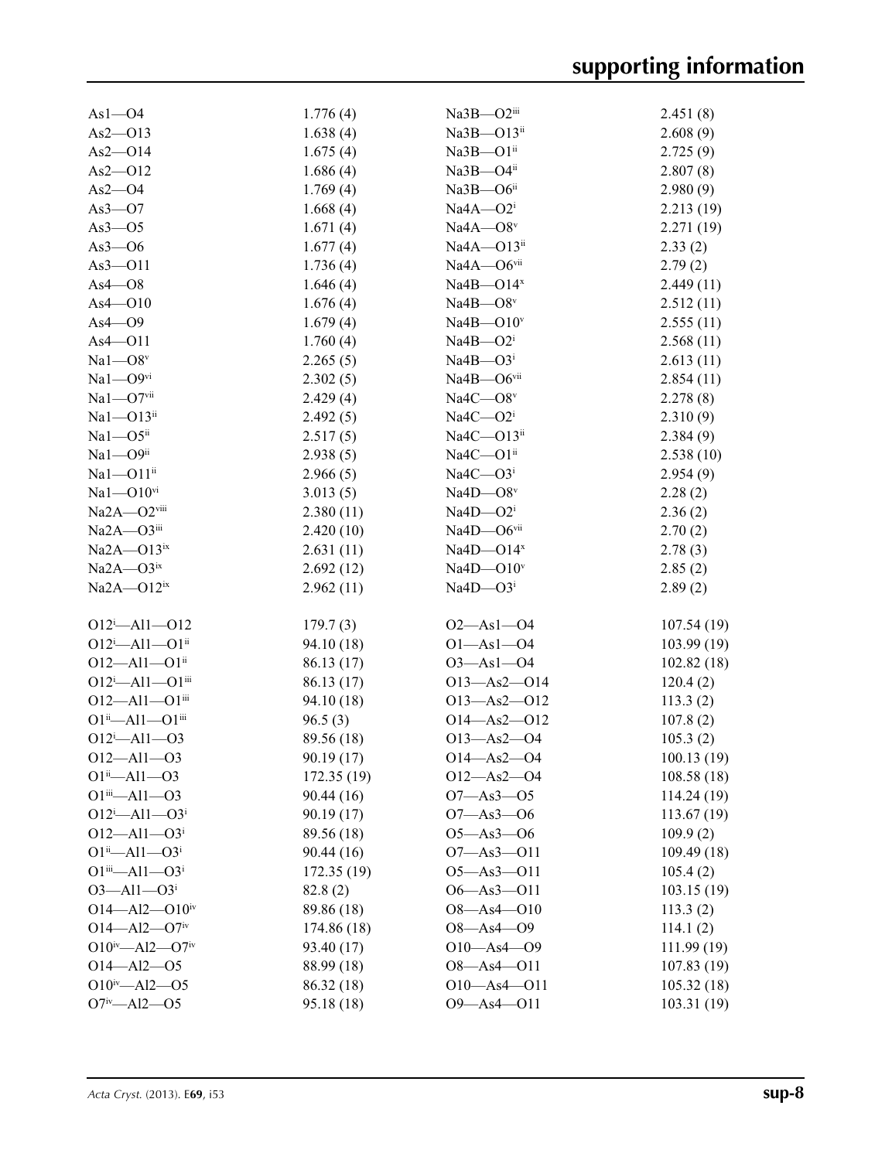| $As1-O4$                                             | 1.776(4)    | Na3B-O2iii                 | 2.451(8)    |
|------------------------------------------------------|-------------|----------------------------|-------------|
| $As2 - O13$                                          | 1.638(4)    | Na3B-O13ii                 | 2.608(9)    |
| $As2 - O14$                                          | 1.675(4)    | Na3B-O1ii                  | 2.725(9)    |
| $As2 - O12$                                          | 1.686(4)    | Na3B-O4ii                  | 2.807(8)    |
| $As2 - O4$                                           | 1.769(4)    | $Na3B - O6ii$              | 2.980(9)    |
| As3 $-$ O7                                           | 1.668(4)    | $Na4A - O2i$               | 2.213(19)   |
| $As3 - O5$                                           | 1.671(4)    | $Na4A - O8$ <sup>v</sup>   | 2.271(19)   |
| $As3 - O6$                                           | 1.677(4)    | Na4A-O13ii                 | 2.33(2)     |
| $As3 - O11$                                          | 1.736(4)    | Na4A-O6vii                 | 2.79(2)     |
| $As4 - O8$                                           | 1.646(4)    | $Na4B - O14x$              | 2.449(11)   |
| $As4 - O10$                                          | 1.676(4)    | Na4B $-$ O8v               | 2.512(11)   |
| $As4 - O9$                                           | 1.679(4)    | $Na4B - O10v$              | 2.555(11)   |
| $As4 - O11$                                          | 1.760(4)    | $Na4B - O2i$               | 2.568(11)   |
| $Na1 - O8v$                                          |             | $Na4B - O3i$               |             |
|                                                      | 2.265(5)    | Na4B-O6vii                 | 2.613(11)   |
| $Na1 - O9$ <sup>vi</sup>                             | 2.302(5)    |                            | 2.854(11)   |
| $Na1 - O7$ <sup>vii</sup>                            | 2.429(4)    | $Na4C - O8v$               | 2.278(8)    |
| Na1-O13ii                                            | 2.492(5)    | $Na4C - O2i$               | 2.310(9)    |
| $Na1 - O5$ <sup>ii</sup>                             | 2.517(5)    | $Na4C - O13$ <sup>ii</sup> | 2.384(9)    |
| $Na1 - O9$ <sup>ii</sup>                             | 2.938(5)    | $Na4C - O1ii$              | 2.538(10)   |
| Na1-O11ii                                            | 2.966(5)    | $Na4C - O3i$               | 2.954(9)    |
| $Na1 - O10$ <sup>vi</sup>                            | 3.013(5)    | $Na4D - O8$ <sup>v</sup>   | 2.28(2)     |
| Na2A-O2viii                                          | 2.380(11)   | $Na4D - O2i$               | 2.36(2)     |
| Na2A-O3iii                                           | 2.420(10)   | Na4D-O6vii                 | 2.70(2)     |
| $Na2A - O13ix$                                       | 2.631(11)   | Na4D $-$ O14 $x$           | 2.78(3)     |
| $Na2A - O3ix$                                        | 2.692(12)   | $Na4D - O10v$              | 2.85(2)     |
| $Na2A - O12ix$                                       | 2.962(11)   | $Na4D - O3i$               | 2.89(2)     |
| $O12^{i}$ $\rightarrow$ $Al1$ $\rightarrow$ $O12$    | 179.7(3)    | $O2 - As1 - O4$            | 107.54(19)  |
| $O12^{i}$ - Al1 - $O1^{ii}$                          | 94.10 (18)  | $O1 - As1 - O4$            | 103.99(19)  |
| $O12 - Al1 - O1$ <sup>ii</sup>                       | 86.13 (17)  | $O3 - As1 - O4$            |             |
| $O12^{i}$ - Al1 - $O1^{iii}$                         | 86.13 (17)  | $O13 - As2 - O14$          | 102.82(18)  |
| $O12 - Al1 - O1$ iii                                 | 94.10 (18)  | O13-As2-O12                | 120.4(2)    |
| $O1^{ii}$ - Al1 - $O1^{iii}$                         |             |                            | 113.3(2)    |
| $O12^{i} - Al1 - O3$                                 | 96.5(3)     | $O14 - As2 - O12$          | 107.8(2)    |
|                                                      | 89.56 (18)  | $O13 - As2 - O4$           | 105.3(2)    |
| $O12 - Al1 - O3$                                     | 90.19(17)   | $O14 - As2 - O4$           | 100.13(19)  |
| $O1^{ii}$ —Al1—O3                                    | 172.35 (19) | $O12 - As2 - O4$           | 108.58(18)  |
| $O1^{iii} - Al1 - O3$                                | 90.44(16)   | $O7 - As3 - O5$            | 114.24 (19) |
| $O12^{i}$ $\rightarrow$ $Al1$ $\rightarrow$ $O3^{i}$ | 90.19(17)   | $O7 - As3 - O6$            | 113.67(19)  |
| $O12 - Al1 - O3$ <sup>i</sup>                        | 89.56 (18)  | $O5 - As3 - O6$            | 109.9(2)    |
| $O1^{ii}$ —Al $1$ — $O3^{i}$                         | 90.44 (16)  | $O7 - As3 - O11$           | 109.49 (18) |
| $O1^{iii}$ $-Al1$ $-O3i$                             | 172.35(19)  | $O5 - As3 - O11$           | 105.4(2)    |
| $O3 - Al1 - O3$ <sup>i</sup>                         | 82.8(2)     | $O6 - As3 - O11$           | 103.15(19)  |
| $O14 - Al2 - O10^{iv}$                               | 89.86 (18)  | $O8 - As4 - O10$           | 113.3(2)    |
| $O14 - Al2 - O7$ iv                                  | 174.86 (18) | $O8 - As4 - O9$            | 114.1(2)    |
| $O10^{iv} - Al2 - O7^{iv}$                           | 93.40 (17)  | $O10 - As4 - O9$           | 111.99 (19) |
| $O14 - Al2 - O5$                                     | 88.99 (18)  | $O8 - As4 - O11$           | 107.83(19)  |
| $O10^{iv} - Al2 - O5$                                | 86.32 (18)  | $O10 - As4 - O11$          | 105.32(18)  |
| $O7^{\rm iv}$ - Al2 - O5                             | 95.18 (18)  | $O9 - As4 - O11$           | 103.31 (19) |